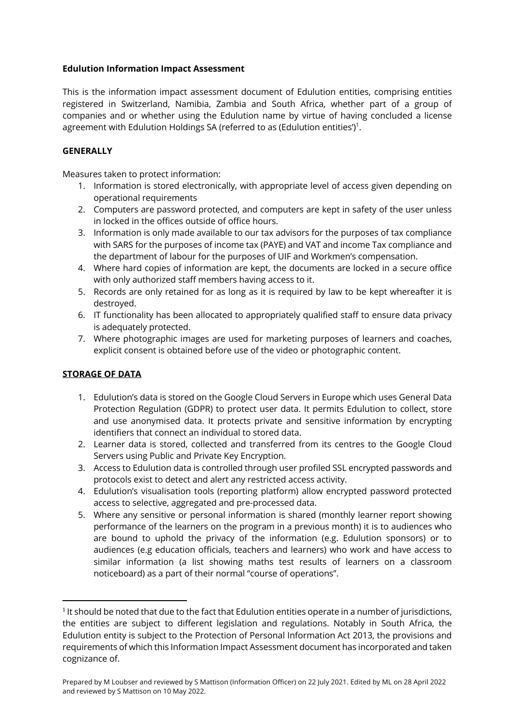## **Edulution Information Impact Assessment**

This is the information impact assessment document of Edulution entities, comprising entities registered in Switzerland, Namibia, Zambia and South Africa, whether part of a group of companies and or whether using the Edulution name by virtue of having concluded a license agreement with Edulution Holdings SA (referred to as (Edulution entities') $^1$ .

# **GENERALLY**

Measures taken to protect information:

- 1. Information is stored electronically, with appropriate level of access given depending on operational requirements
- 2. Computers are password protected, and computers are kept in safety of the user unless in locked in the offices outside of office hours.
- 3. Information is only made available to our tax advisors for the purposes of tax compliance with SARS for the purposes of income tax (PAYE) and VAT and income Tax compliance and the department of labour for the purposes of UIF and Workmen's compensation.
- 4. Where hard copies of information are kept, the documents are locked in a secure office with only authorized staff members having access to it.
- 5. Records are only retained for as long as it is required by law to be kept whereafter it is destroyed.
- 6. IT functionality has been allocated to appropriately qualified staff to ensure data privacy is adequately protected.
- 7. Where photographic images are used for marketing purposes of learners and coaches, explicit consent is obtained before use of the video or photographic content.

# **STORAGE OF DATA**

- 1. Edulution's data is stored on the Google Cloud Servers in Europe which uses General Data Protection Regulation (GDPR) to protect user data. It permits Edulution to collect, store and use anonymised data. It protects private and sensitive information by encrypting identifiers that connect an individual to stored data.
- 2. Learner data is stored, collected and transferred from its centres to the Google Cloud Servers using Public and Private Key Encryption.
- 3. Access to Edulution data is controlled through user profiled SSL encrypted passwords and protocols exist to detect and alert any restricted access activity.
- 4. Edulution's visualisation tools (reporting platform) allow encrypted password protected access to selective, aggregated and pre-processed data.
- 5. Where any sensitive or personal information is shared (monthly learner report showing performance of the learners on the program in a previous month) it is to audiences who are bound to uphold the privacy of the information (e.g. Edulution sponsors) or to audiences (e.g education officials, teachers and learners) who work and have access to similar information (a list showing maths test results of learners on a classroom noticeboard) as a part of their normal "course of operations".

<sup>&</sup>lt;sup>1</sup> It should be noted that due to the fact that Edulution entities operate in a number of jurisdictions, the entities are subject to different legislation and regulations. Notably in South Africa, the Edulution entity is subject to the Protection of Personal Information Act 2013, the provisions and requirements of which this Information Impact Assessment document has incorporated and taken cognizance of.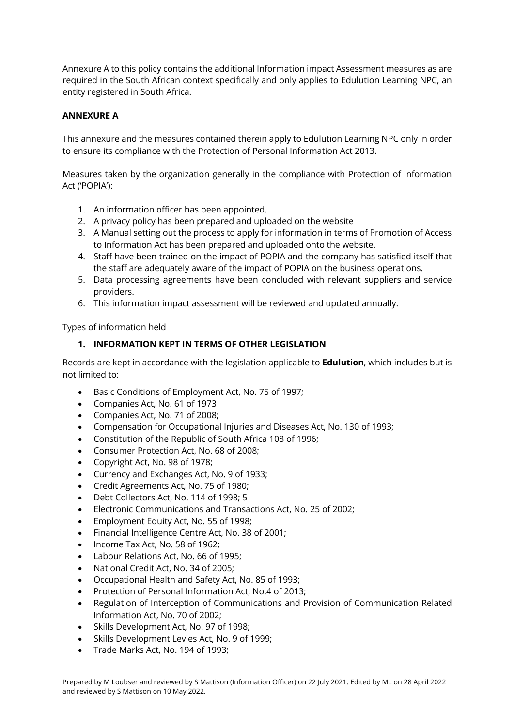Annexure A to this policy contains the additional Information impact Assessment measures as are required in the South African context specifically and only applies to Edulution Learning NPC, an entity registered in South Africa.

# **ANNEXURE A**

This annexure and the measures contained therein apply to Edulution Learning NPC only in order to ensure its compliance with the Protection of Personal Information Act 2013.

Measures taken by the organization generally in the compliance with Protection of Information Act ('POPIA'):

- 1. An information officer has been appointed.
- 2. A privacy policy has been prepared and uploaded on the website
- 3. A Manual setting out the process to apply for information in terms of Promotion of Access to Information Act has been prepared and uploaded onto the website.
- 4. Staff have been trained on the impact of POPIA and the company has satisfied itself that the staff are adequately aware of the impact of POPIA on the business operations.
- 5. Data processing agreements have been concluded with relevant suppliers and service providers.
- 6. This information impact assessment will be reviewed and updated annually.

Types of information held

# **1. INFORMATION KEPT IN TERMS OF OTHER LEGISLATION**

Records are kept in accordance with the legislation applicable to **Edulution**, which includes but is not limited to:

- Basic Conditions of Employment Act, No. 75 of 1997;
- Companies Act, No. 61 of 1973
- Companies Act, No. 71 of 2008;
- Compensation for Occupational Injuries and Diseases Act, No. 130 of 1993;
- Constitution of the Republic of South Africa 108 of 1996;
- Consumer Protection Act, No. 68 of 2008;
- Copyright Act, No. 98 of 1978;
- Currency and Exchanges Act, No. 9 of 1933;
- Credit Agreements Act, No. 75 of 1980;
- Debt Collectors Act, No. 114 of 1998; 5
- Electronic Communications and Transactions Act, No. 25 of 2002;
- Employment Equity Act, No. 55 of 1998;
- Financial Intelligence Centre Act, No. 38 of 2001;
- Income Tax Act, No. 58 of 1962;
- Labour Relations Act, No. 66 of 1995;
- National Credit Act, No. 34 of 2005;
- Occupational Health and Safety Act, No. 85 of 1993;
- Protection of Personal Information Act, No.4 of 2013;
- Regulation of Interception of Communications and Provision of Communication Related Information Act, No. 70 of 2002;
- Skills Development Act, No. 97 of 1998;
- Skills Development Levies Act, No. 9 of 1999;
- Trade Marks Act, No. 194 of 1993;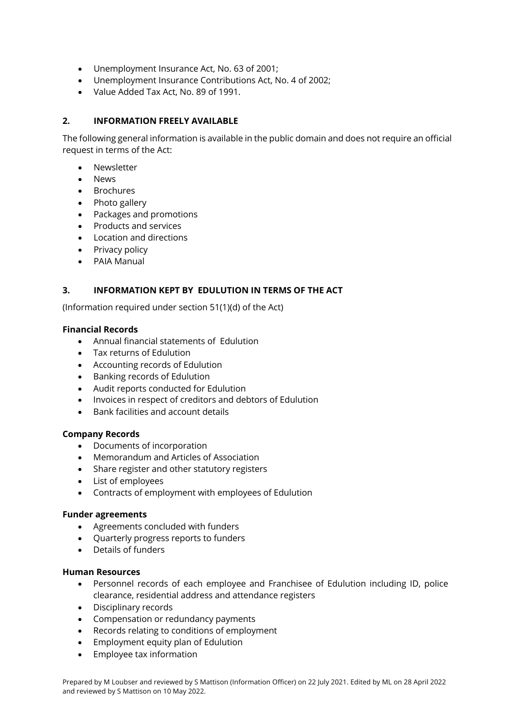- Unemployment Insurance Act, No. 63 of 2001;
- Unemployment Insurance Contributions Act, No. 4 of 2002;
- Value Added Tax Act, No. 89 of 1991.

## **2. INFORMATION FREELY AVAILABLE**

The following general information is available in the public domain and does not require an official request in terms of the Act:

- **Newsletter**
- News
- Brochures
- Photo gallery
- Packages and promotions
- Products and services
- Location and directions
- Privacy policy
- PAIA Manual

## **3. INFORMATION KEPT BY EDULUTION IN TERMS OF THE ACT**

(Information required under section 51(1)(d) of the Act)

### **Financial Records**

- Annual financial statements of Edulution
- Tax returns of Edulution
- Accounting records of Edulution
- Banking records of Edulution
- Audit reports conducted for Edulution
- Invoices in respect of creditors and debtors of Edulution
- Bank facilities and account details

#### **Company Records**

- Documents of incorporation
- Memorandum and Articles of Association
- Share register and other statutory registers
- List of employees
- Contracts of employment with employees of Edulution

#### **Funder agreements**

- Agreements concluded with funders
- Quarterly progress reports to funders
- Details of funders

### **Human Resources**

- Personnel records of each employee and Franchisee of Edulution including ID, police clearance, residential address and attendance registers
- Disciplinary records
- Compensation or redundancy payments
- Records relating to conditions of employment
- Employment equity plan of Edulution
- Employee tax information